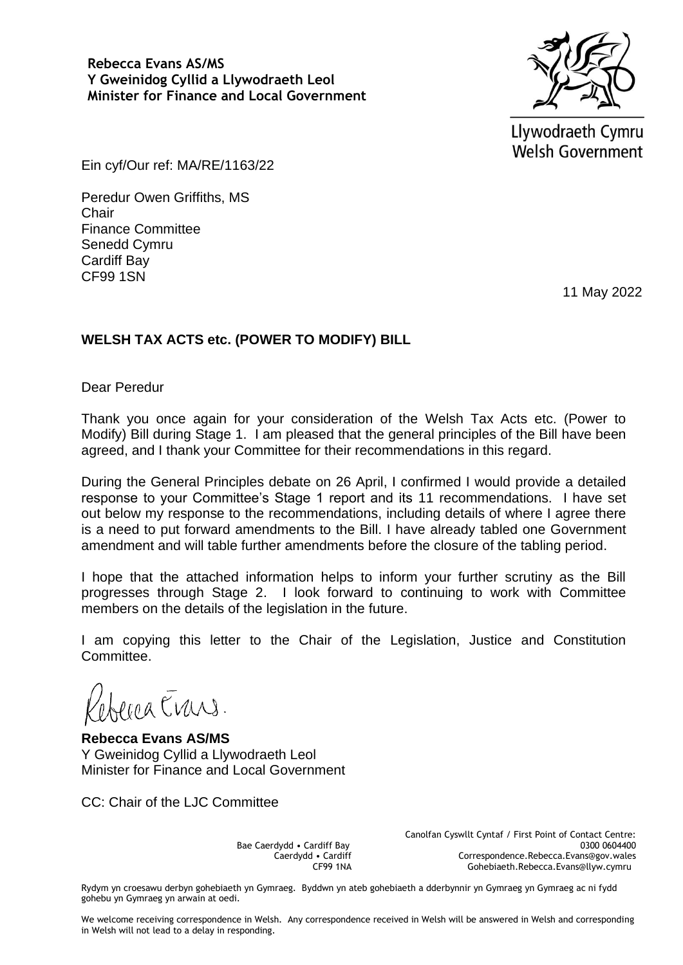

Llywodraeth Cymru **Welsh Government** 

Ein cyf/Our ref: MA/RE/1163/22

Peredur Owen Griffiths, MS **Chair** Finance Committee Senedd Cymru Cardiff Bay CF99 1SN

11 May 2022

## **WELSH TAX ACTS etc. (POWER TO MODIFY) BILL**

Dear Peredur

Thank you once again for your consideration of the Welsh Tax Acts etc. (Power to Modify) Bill during Stage 1. I am pleased that the general principles of the Bill have been agreed, and I thank your Committee for their recommendations in this regard.

During the General Principles debate on 26 April, I confirmed I would provide a detailed response to your Committee's Stage 1 report and its 11 recommendations. I have set out below my response to the recommendations, including details of where I agree there is a need to put forward amendments to the Bill. I have already tabled one Government amendment and will table further amendments before the closure of the tabling period.

I hope that the attached information helps to inform your further scrutiny as the Bill progresses through Stage 2. I look forward to continuing to work with Committee members on the details of the legislation in the future.

I am copying this letter to the Chair of the Legislation, Justice and Constitution Committee.

reca Erris.

**Rebecca Evans AS/MS** Y Gweinidog Cyllid a Llywodraeth Leol Minister for Finance and Local Government

CC: Chair of the LJC Committee

Bae Caerdydd • Cardiff Bay Caerdydd • Cardiff CF99 1NA Canolfan Cyswllt Cyntaf / First Point of Contact Centre: 0300 0604400 Correspondence.Rebecca.Evans@gov.wales Gohebiaeth.Rebecca.Evans@llyw.cymru

Rydym yn croesawu derbyn gohebiaeth yn Gymraeg. Byddwn yn ateb gohebiaeth a dderbynnir yn Gymraeg yn Gymraeg ac ni fydd gohebu yn Gymraeg yn arwain at oedi.

We welcome receiving correspondence in Welsh. Any correspondence received in Welsh will be answered in Welsh and corresponding in Welsh will not lead to a delay in responding.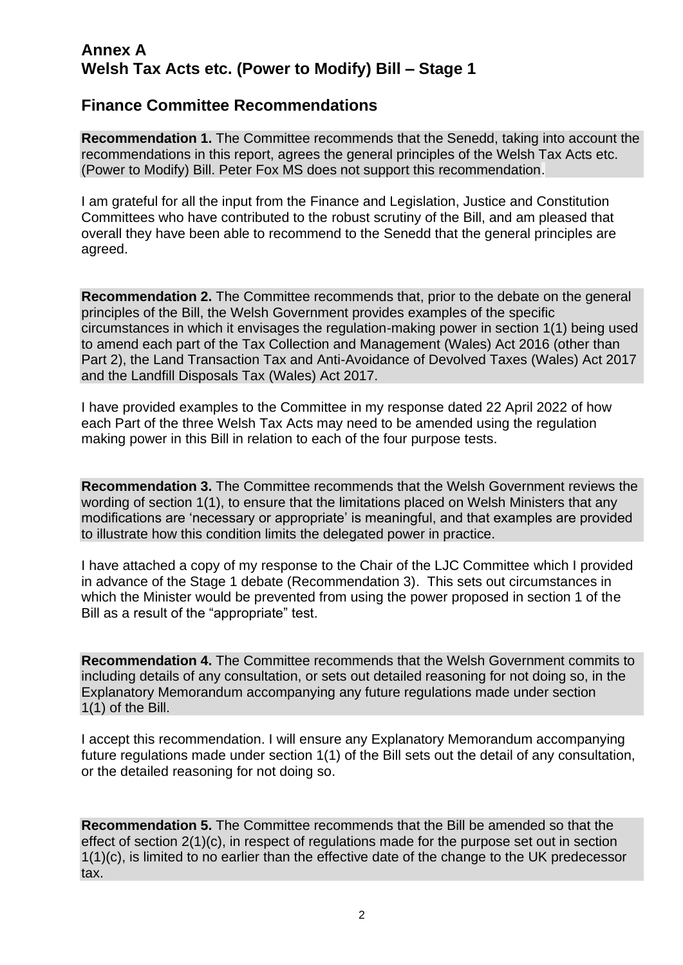## **Annex A Welsh Tax Acts etc. (Power to Modify) Bill – Stage 1**

## **Finance Committee Recommendations**

**Recommendation 1.** The Committee recommends that the Senedd, taking into account the recommendations in this report, agrees the general principles of the Welsh Tax Acts etc. (Power to Modify) Bill. Peter Fox MS does not support this recommendation.

I am grateful for all the input from the Finance and Legislation, Justice and Constitution Committees who have contributed to the robust scrutiny of the Bill, and am pleased that overall they have been able to recommend to the Senedd that the general principles are agreed.

**Recommendation 2.** The Committee recommends that, prior to the debate on the general principles of the Bill, the Welsh Government provides examples of the specific circumstances in which it envisages the regulation-making power in section 1(1) being used to amend each part of the Tax Collection and Management (Wales) Act 2016 (other than Part 2), the Land Transaction Tax and Anti-Avoidance of Devolved Taxes (Wales) Act 2017 and the Landfill Disposals Tax (Wales) Act 2017.

I have provided examples to the Committee in my response dated 22 April 2022 of how each Part of the three Welsh Tax Acts may need to be amended using the regulation making power in this Bill in relation to each of the four purpose tests.

**Recommendation 3.** The Committee recommends that the Welsh Government reviews the wording of section 1(1), to ensure that the limitations placed on Welsh Ministers that any modifications are 'necessary or appropriate' is meaningful, and that examples are provided to illustrate how this condition limits the delegated power in practice.

I have attached a copy of my response to the Chair of the LJC Committee which I provided in advance of the Stage 1 debate (Recommendation 3). This sets out circumstances in which the Minister would be prevented from using the power proposed in section 1 of the Bill as a result of the "appropriate" test.

**Recommendation 4.** The Committee recommends that the Welsh Government commits to including details of any consultation, or sets out detailed reasoning for not doing so, in the Explanatory Memorandum accompanying any future regulations made under section 1(1) of the Bill.

I accept this recommendation. I will ensure any Explanatory Memorandum accompanying future regulations made under section 1(1) of the Bill sets out the detail of any consultation, or the detailed reasoning for not doing so.

**Recommendation 5.** The Committee recommends that the Bill be amended so that the effect of section 2(1)(c), in respect of regulations made for the purpose set out in section 1(1)(c), is limited to no earlier than the effective date of the change to the UK predecessor tax.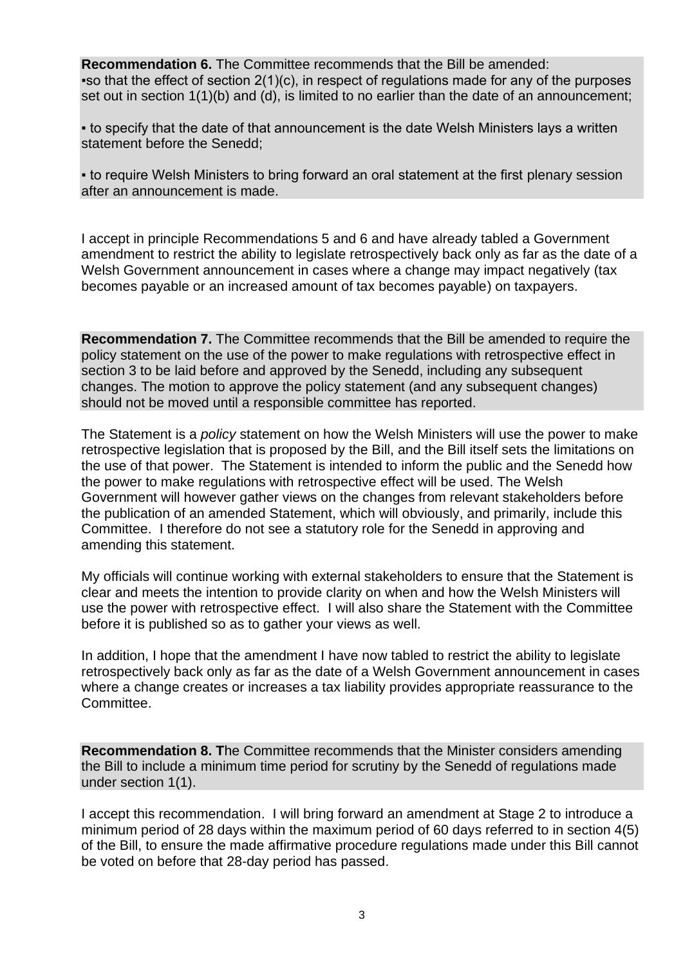**Recommendation 6.** The Committee recommends that the Bill be amended:  $\bullet$  so that the effect of section 2(1)(c), in respect of regulations made for any of the purposes set out in section 1(1)(b) and (d), is limited to no earlier than the date of an announcement:

• to specify that the date of that announcement is the date Welsh Ministers lays a written statement before the Senedd;

• to require Welsh Ministers to bring forward an oral statement at the first plenary session after an announcement is made.

I accept in principle Recommendations 5 and 6 and have already tabled a Government amendment to restrict the ability to legislate retrospectively back only as far as the date of a Welsh Government announcement in cases where a change may impact negatively (tax becomes payable or an increased amount of tax becomes payable) on taxpayers.

**Recommendation 7.** The Committee recommends that the Bill be amended to require the policy statement on the use of the power to make regulations with retrospective effect in section 3 to be laid before and approved by the Senedd, including any subsequent changes. The motion to approve the policy statement (and any subsequent changes) should not be moved until a responsible committee has reported.

The Statement is a *policy* statement on how the Welsh Ministers will use the power to make retrospective legislation that is proposed by the Bill, and the Bill itself sets the limitations on the use of that power. The Statement is intended to inform the public and the Senedd how the power to make regulations with retrospective effect will be used. The Welsh Government will however gather views on the changes from relevant stakeholders before the publication of an amended Statement, which will obviously, and primarily, include this Committee. I therefore do not see a statutory role for the Senedd in approving and amending this statement.

My officials will continue working with external stakeholders to ensure that the Statement is clear and meets the intention to provide clarity on when and how the Welsh Ministers will use the power with retrospective effect. I will also share the Statement with the Committee before it is published so as to gather your views as well.

In addition, I hope that the amendment I have now tabled to restrict the ability to legislate retrospectively back only as far as the date of a Welsh Government announcement in cases where a change creates or increases a tax liability provides appropriate reassurance to the Committee.

**Recommendation 8. T**he Committee recommends that the Minister considers amending the Bill to include a minimum time period for scrutiny by the Senedd of regulations made under section 1(1).

I accept this recommendation. I will bring forward an amendment at Stage 2 to introduce a minimum period of 28 days within the maximum period of 60 days referred to in section 4(5) of the Bill, to ensure the made affirmative procedure regulations made under this Bill cannot be voted on before that 28-day period has passed.